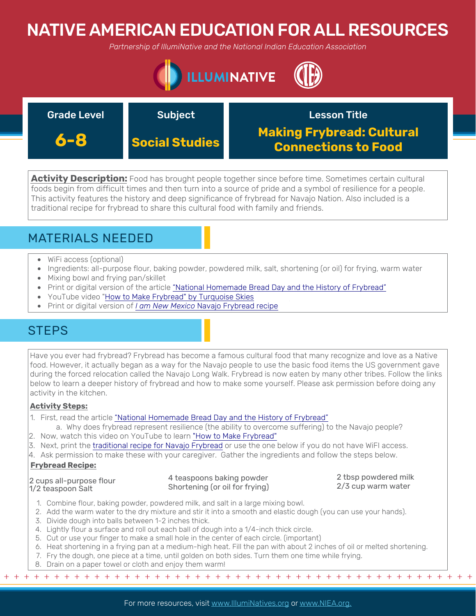# NATIVE AMERICAN EDUCATION FOR ALL RESOURCES

*Partnership of IllumiNative and the National Indian Education Association*



| <b>Grade Level</b> | <b>Subject</b>        | <b>Lesson Title</b>                                            |
|--------------------|-----------------------|----------------------------------------------------------------|
| 6-8                | <b>Social Studies</b> | <b>Making Frybread: Cultural</b><br><b>Connections to Food</b> |

**Activity Description:** Food has brought people together since before time. Sometimes certain cultural foods begin from difficult times and then turn into a source of pride and a symbol of resilience for a people. This activity features the history and deep significance of frybread for Navajo Nation. Also included is a traditional recipe for frybread to share this cultural food with family and friends.

## MATERIALS NEEDED

- WiFi access (optional)
- Ingredients: all-purpose flour, baking powder, powdered milk, salt, shortening (or oil) for frying, warm water
- Mixing bowl and frying pan/skillet
- Print or digital version of the article ["National Homemade Bread Day and the History of Frybread"](http://blog.nativepartnership.org/national-homemade-bread-day-and-the-history-of-frybread/)
- YouTube video "[How to Make Frybread" by Turquoise Skies](https://www.youtube.com/watch?v=5shGN5SjcEQ)
- Print or digital version of *I am New Mexico* [Navajo Frybread recipe](https://iamnm.com/dine-navajo-fry-bread-recipe/)

## **STEPS**

Have you ever had frybread? Frybread has become a famous cultural food that many recognize and love as a Native food. However, it actually began as a way for the Navajo people to use the basic food items the US government gave during the forced relocation called the Navajo Long Walk. Frybread is now eaten by many other tribes. Follow the links below to learn a deeper history of frybread and how to make some yourself. Please ask permission before doing any activity in the kitchen.

## **Activity Steps:**

- 1. First, read the article "National Homemade Bread Day and the History of Frybread"
- a. Why does frybre[ad represent resilience \(the ability to overcome suffering\) to](http://blog.nativepartnership.org/national-homemade-bread-day-and-the-history-of-frybread/) the Navajo people?
- 2. Now, watch this video on YouTube to learn ["How to Make Frybread"](https://www.youtube.com/watch?v=5shGN5SjcEQ)
- 3. Next, print the [traditional recipe for Navajo Frybread](https://iamnm.com/dine-navajo-fry-bread-recipe/) or use the one below if you do not have WiFI access.
- 4. Ask permission to make these with your caregiver. Gather the ingredients and follow the steps below.

### **Frybread Recipe:**

2 cups all-purpose flour 1/2 teaspoon Salt

#### 4 teaspoons baking powder Shortening (or oil for frying)

2 tbsp powdered milk 2/3 cup warm water

- 1. Combine flour, baking powder, powdered milk, and salt in a large mixing bowl.
- 2. Add the warm water to the dry mixture and stir it into a smooth and elastic dough (you can use your hands).
- 3. Divide dough into balls between 1-2 inches thick.
- 4. Lightly flour a surface and roll out each ball of dough into a 1/4-inch thick circle.
- 5. Cut or use your finger to make a small hole in the center of each circle. (important)
- 6. Heat shortening in a frying pan at a medium-high heat. Fill the pan with about 2 inches of oil or melted shortening.
- 7. Fry the dough, one piece at a time, until golden on both sides. Turn them one time while frying.
- 8. Drain on a paper towel or cloth and enjoy them warm!

+ + + + + + + + + + + + + + + + + + + + + + + + + + + + + + + + + + + + + + + + + + + + + + + +